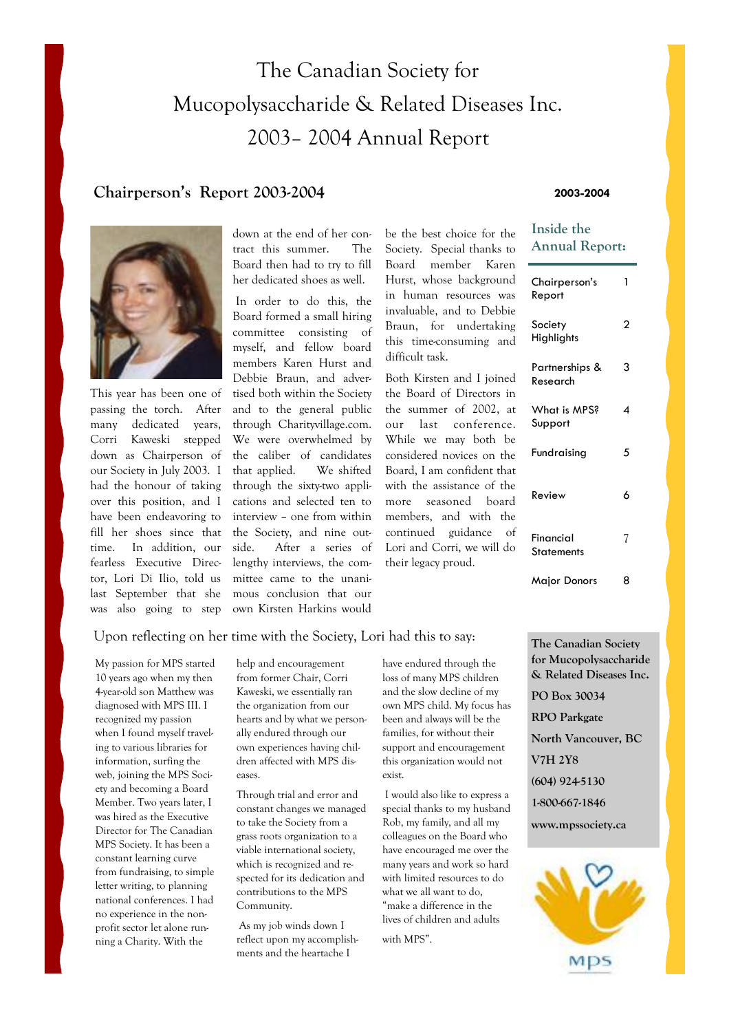# The Canadian Society for Mucopolysaccharide & Related Diseases Inc. 2003– 2004 Annual Report

### **Chairperson's Report 2003-2004**

#### **2003-2004**

**Inside the** 



This year has been one of passing the torch. After many dedicated years, Corri Kaweski stepped down as Chairperson of our Society in July 2003. I had the honour of taking over this position, and I have been endeavoring to fill her shoes since that time. In addition, our fearless Executive Director, Lori Di Ilio, told us last September that she was also going to step

down at the end of her contract this summer. The Board then had to try to fill her dedicated shoes as well.

 In order to do this, the Board formed a small hiring committee consisting of myself, and fellow board members Karen Hurst and Debbie Braun, and advertised both within the Society and to the general public through Charityvillage.com. We were overwhelmed by the caliber of candidates that applied. We shifted through the sixty-two applications and selected ten to interview – one from within the Society, and nine outside. After a series of lengthy interviews, the committee came to the unanimous conclusion that our own Kirsten Harkins would

be the best choice for the Society. Special thanks to Board member Karen Hurst, whose background in human resources was invaluable, and to Debbie Braun, for undertaking this time-consuming and difficult task.

Both Kirsten and I joined the Board of Directors in the summer of 2002, at our last conference. While we may both be considered novices on the Board, I am confident that with the assistance of the more seasoned board members, and with the continued guidance of Lori and Corri, we will do their legacy proud.

| <b>Annual Report:</b>      |   |  |
|----------------------------|---|--|
| Chairperson's<br>Report    | 1 |  |
| Society<br>Highlights      | 2 |  |
| Partnerships &<br>Research | 3 |  |
| What is MPS?<br>Support    | 4 |  |
| Fundraising                | 5 |  |
| Review                     | 6 |  |
| Financial<br>Statements    | 7 |  |
| Major Donors               | 8 |  |

#### Upon reflecting on her time with the Society, Lori had this to say:

My passion for MPS started 10 years ago when my then 4-year-old son Matthew was diagnosed with MPS III. I recognized my passion when I found myself traveling to various libraries for information, surfing the web, joining the MPS Society and becoming a Board Member. Two years later, I was hired as the Executive Director for The Canadian MPS Society. It has been a constant learning curve from fundraising, to simple letter writing, to planning national conferences. I had no experience in the nonprofit sector let alone running a Charity. With the

help and encouragement from former Chair, Corri Kaweski, we essentially ran the organization from our hearts and by what we personally endured through our own experiences having children affected with MPS diseases.

Through trial and error and constant changes we managed to take the Society from a grass roots organization to a viable international society, which is recognized and respected for its dedication and contributions to the MPS Community.

 As my job winds down I reflect upon my accomplishments and the heartache I

have endured through the loss of many MPS children and the slow decline of my own MPS child. My focus has been and always will be the families, for without their support and encouragement this organization would not exist.

 I would also like to express a special thanks to my husband Rob, my family, and all my colleagues on the Board who have encouraged me over the many years and work so hard with limited resources to do what we all want to do, "make a difference in the lives of children and adults with MPS".

**The Canadian Society for Mucopolysaccharide & Related Diseases Inc. PO Box 30034 RPO Parkgate North Vancouver, BC V7H 2Y8 (604) 924-5130 1-800-667-1846 www.mpssociety.ca** 

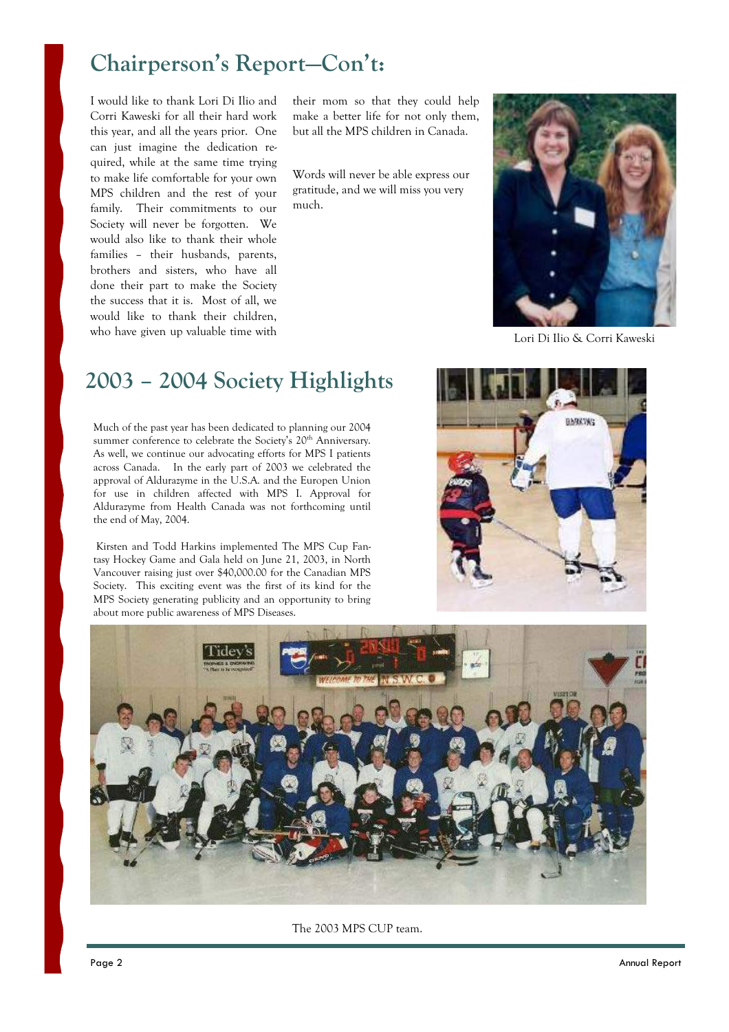# **Chairperson's Report—Con't:**

I would like to thank Lori Di Ilio and Corri Kaweski for all their hard work this year, and all the years prior. One can just imagine the dedication required, while at the same time trying to make life comfortable for your own MPS children and the rest of your family. Their commitments to our Society will never be forgotten. We would also like to thank their whole families – their husbands, parents, brothers and sisters, who have all done their part to make the Society the success that it is. Most of all, we would like to thank their children, who have given up valuable time with

their mom so that they could help make a better life for not only them, but all the MPS children in Canada.

Words will never be able express our gratitude, and we will miss you very much.



Lori Di Ilio & Corri Kaweski

## **2003 – 2004 Society Highlights**

Much of the past year has been dedicated to planning our 2004 summer conference to celebrate the Society's 20<sup>th</sup> Anniversary. As well, we continue our advocating efforts for MPS I patients across Canada. In the early part of 2003 we celebrated the approval of Aldurazyme in the U.S.A. and the Europen Union for use in children affected with MPS I. Approval for Aldurazyme from Health Canada was not forthcoming until the end of May, 2004.

 Kirsten and Todd Harkins implemented The MPS Cup Fantasy Hockey Game and Gala held on June 21, 2003, in North Vancouver raising just over \$40,000.00 for the Canadian MPS Society. This exciting event was the first of its kind for the MPS Society generating publicity and an opportunity to bring about more public awareness of MPS Diseases.





The 2003 MPS CUP team.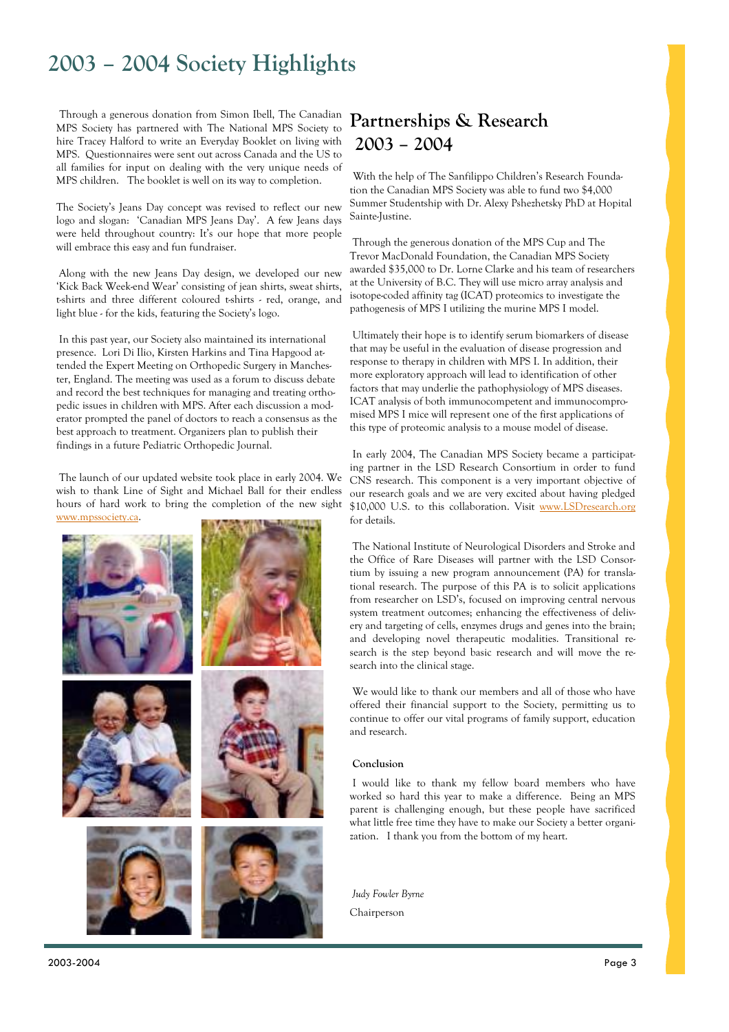## **2003 – 2004 Society Highlights**

Through a generous donation from Simon Ibell, The Canadian MPS Society has partnered with The National MPS Society to hire Tracey Halford to write an Everyday Booklet on living with MPS. Questionnaires were sent out across Canada and the US to all families for input on dealing with the very unique needs of MPS children. The booklet is well on its way to completion.

The Society's Jeans Day concept was revised to reflect our new logo and slogan: 'Canadian MPS Jeans Day'. A few Jeans days were held throughout country: It's our hope that more people will embrace this easy and fun fundraiser.

 Along with the new Jeans Day design, we developed our new 'Kick Back Week-end Wear' consisting of jean shirts, sweat shirts, t-shirts and three different coloured t-shirts - red, orange, and light blue - for the kids, featuring the Society's logo.

 In this past year, our Society also maintained its international presence. Lori Di Ilio, Kirsten Harkins and Tina Hapgood attended the Expert Meeting on Orthopedic Surgery in Manchester, England. The meeting was used as a forum to discuss debate and record the best techniques for managing and treating orthopedic issues in children with MPS. After each discussion a moderator prompted the panel of doctors to reach a consensus as the best approach to treatment. Organizers plan to publish their findings in a future Pediatric Orthopedic Journal.

 The launch of our updated website took place in early 2004. We wish to thank Line of Sight and Michael Ball for their endless hours of hard work to bring the completion of the new sight www.mpssociety.ca.



## **Partnerships & Research 2003 – 2004**

With the help of The Sanfilippo Children's Research Foundation the Canadian MPS Society was able to fund two \$4,000 Summer Studentship with Dr. Alexy Pshezhetsky PhD at Hopital Sainte-Justine.

 Through the generous donation of the MPS Cup and The Trevor MacDonald Foundation, the Canadian MPS Society awarded \$35,000 to Dr. Lorne Clarke and his team of researchers at the University of B.C. They will use micro array analysis and isotope-coded affinity tag (ICAT) proteomics to investigate the pathogenesis of MPS I utilizing the murine MPS I model.

 Ultimately their hope is to identify serum biomarkers of disease that may be useful in the evaluation of disease progression and response to therapy in children with MPS I. In addition, their more exploratory approach will lead to identification of other factors that may underlie the pathophysiology of MPS diseases. ICAT analysis of both immunocompetent and immunocompromised MPS I mice will represent one of the first applications of this type of proteomic analysis to a mouse model of disease.

 In early 2004, The Canadian MPS Society became a participating partner in the LSD Research Consortium in order to fund CNS research. This component is a very important objective of our research goals and we are very excited about having pledged \$10,000 U.S. to this collaboration. Visit www.LSDresearch.org for details.

 The National Institute of Neurological Disorders and Stroke and the Office of Rare Diseases will partner with the LSD Consortium by issuing a new program announcement (PA) for translational research. The purpose of this PA is to solicit applications from researcher on LSD's, focused on improving central nervous system treatment outcomes; enhancing the effectiveness of delivery and targeting of cells, enzymes drugs and genes into the brain; and developing novel therapeutic modalities. Transitional research is the step beyond basic research and will move the research into the clinical stage.

 We would like to thank our members and all of those who have offered their financial support to the Society, permitting us to continue to offer our vital programs of family support, education and research.

#### **Conclusion**

 I would like to thank my fellow board members who have worked so hard this year to make a difference. Being an MPS parent is challenging enough, but these people have sacrificed what little free time they have to make our Society a better organization. I thank you from the bottom of my heart.

*Judy Fowler Byrne* Chairperson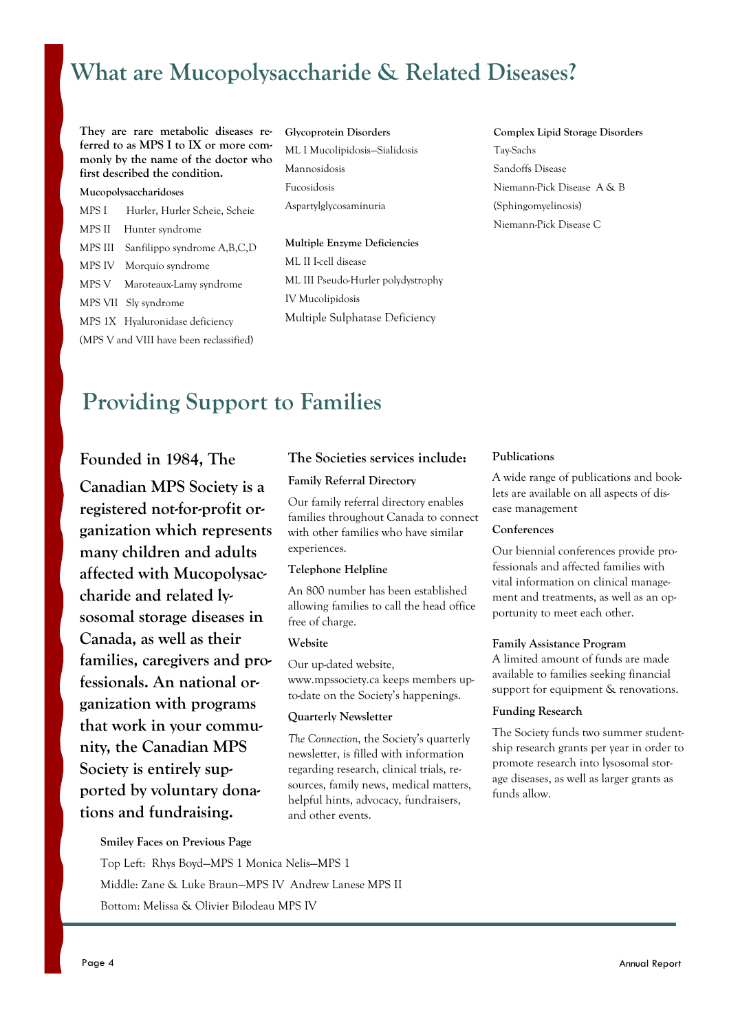# **What are Mucopolysaccharide & Related Diseases?**

**They are rare metabolic diseases referred to as MPS I to IX or more commonly by the name of the doctor who first described the condition.**

### **Mucopolysaccharidoses**  MPS I Hurler, Hurler Scheie, Scheie MPS II Hunter syndrome MPS III Sanfilippo syndrome A,B,C,D MPS IV Morquio syndrome MPS V Maroteaux-Lamy syndrome MPS VII Sly syndrome MPS 1X Hyaluronidase deficiency (MPS V and VIII have been reclassified)

**Glycoprotein Disorders** ML I Mucolipidosis—Sialidosis Mannosidosis Fucosidosis Aspartylglycosaminuria

**Multiple Enzyme Deficiencies** ML II I-cell disease ML III Pseudo-Hurler polydystrophy IV Mucolipidosis Multiple Sulphatase Deficiency

**Complex Lipid Storage Disorders** Tay-Sachs Sandoffs Disease Niemann-Pick Disease A & B (Sphingomyelinosis) Niemann-Pick Disease C

## **Providing Support to Families**

### **Founded in 1984, The**

**Canadian MPS Society is a registered not-for-profit organization which represents many children and adults affected with Mucopolysaccharide and related lysosomal storage diseases in Canada, as well as their families, caregivers and professionals. An national organization with programs that work in your community, the Canadian MPS Society is entirely supported by voluntary donations and fundraising.** 

### **The Societies services include:**

### **Family Referral Directory**

Our family referral directory enables families throughout Canada to connect with other families who have similar experiences.

#### **Telephone Helpline**

An 800 number has been established allowing families to call the head office free of charge.

#### **Website**

Our up-dated website, www.mpssociety.ca keeps members upto-date on the Society's happenings.

#### **Quarterly Newsletter**

*The Connection*, the Society's quarterly newsletter, is filled with information regarding research, clinical trials, resources, family news, medical matters, helpful hints, advocacy, fundraisers, and other events.

#### **Publications**

A wide range of publications and booklets are available on all aspects of disease management

#### **Conferences**

Our biennial conferences provide professionals and affected families with vital information on clinical management and treatments, as well as an opportunity to meet each other.

#### **Family Assistance Program**

A limited amount of funds are made available to families seeking financial support for equipment & renovations.

#### **Funding Research**

The Society funds two summer studentship research grants per year in order to promote research into lysosomal storage diseases, as well as larger grants as funds allow.

**Smiley Faces on Previous Page** 

Top Left: Rhys Boyd—MPS 1 Monica Nelis—MPS 1 Middle: Zane & Luke Braun—MPS IV Andrew Lanese MPS II Bottom: Melissa & Olivier Bilodeau MPS IV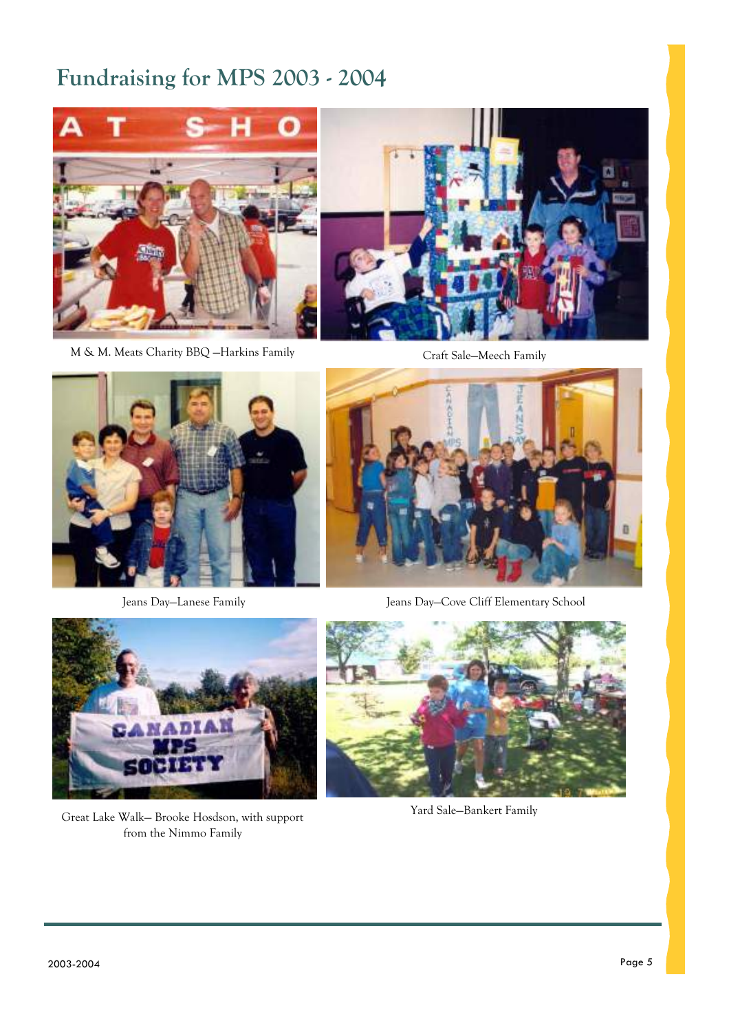# **Fundraising for MPS 2003 - 2004**



M & M. Meats Charity BBQ —Harkins Family



Craft Sale—Meech Family



Jeans Day—Lanese Family



Jeans Day—Cove Cliff Elementary School



Great Lake Walk— Brooke Hosdson, with support from the Nimmo Family



Yard Sale—Bankert Family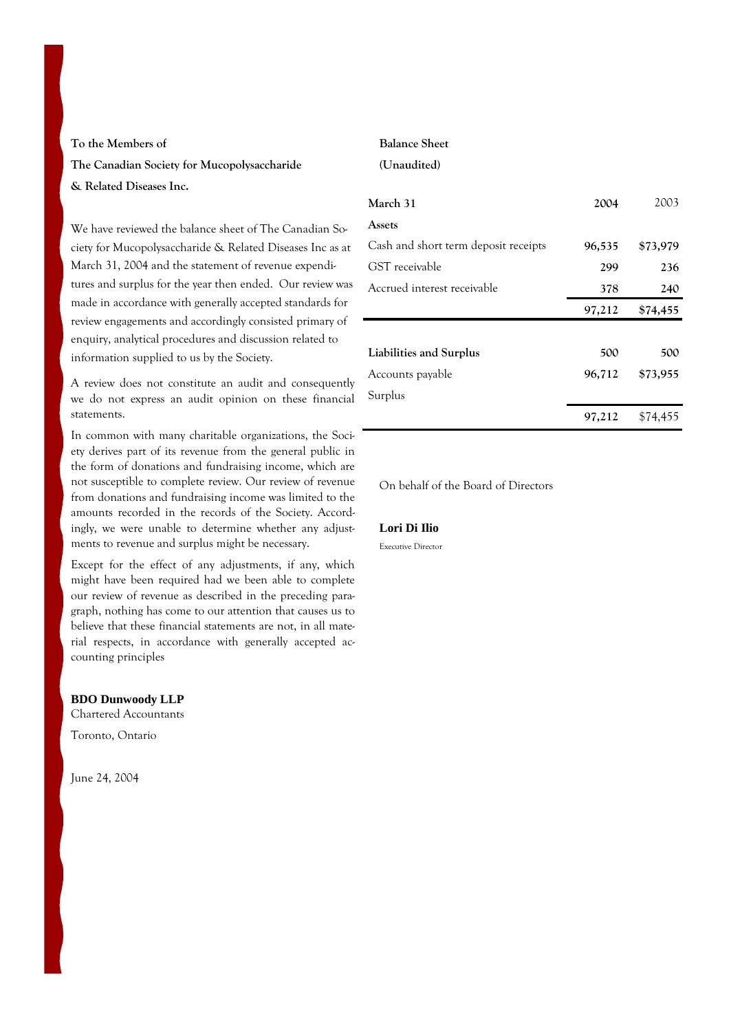### **To the Members of The Canadian Society for Mucopolysaccharide & Related Diseases Inc.**

We have reviewed the balance sheet of The Canadian Society for Mucopolysaccharide & Related Diseases Inc as at March 31, 2004 and the statement of revenue expenditures and surplus for the year then ended. Our review was made in accordance with generally accepted standards for review engagements and accordingly consisted primary of enquiry, analytical procedures and discussion related to information supplied to us by the Society.

A review does not constitute an audit and consequently we do not express an audit opinion on these financial statements.

In common with many charitable organizations, the Society derives part of its revenue from the general public in the form of donations and fundraising income, which are not susceptible to complete review. Our review of revenue from donations and fundraising income was limited to the amounts recorded in the records of the Society. Accordingly, we were unable to determine whether any adjustments to revenue and surplus might be necessary.

Except for the effect of any adjustments, if any, which might have been required had we been able to complete our review of revenue as described in the preceding paragraph, nothing has come to our attention that causes us to believe that these financial statements are not, in all material respects, in accordance with generally accepted accounting principles

#### **BDO Dunwoody LLP**

Chartered Accountants

Toronto, Ontario

June 24, 2004

#### **Balance Sheet**

#### **(Unaudited)**

| March 31                             | 2004   | 2003     |
|--------------------------------------|--------|----------|
| Assets                               |        |          |
| Cash and short term deposit receipts | 96,535 | \$73,979 |
| GST receivable                       | 299    | 236      |
| Accrued interest receivable          | 378    | 240      |
|                                      | 97,212 | \$74,455 |
|                                      |        |          |
| Liabilities and Surplus              | 500    | 500      |
| Accounts payable                     | 96,712 | \$73,955 |
| Surplus                              |        |          |
|                                      | 97,212 | \$74,455 |

On behalf of the Board of Directors

#### **Lori Di Ilio**

Executive Director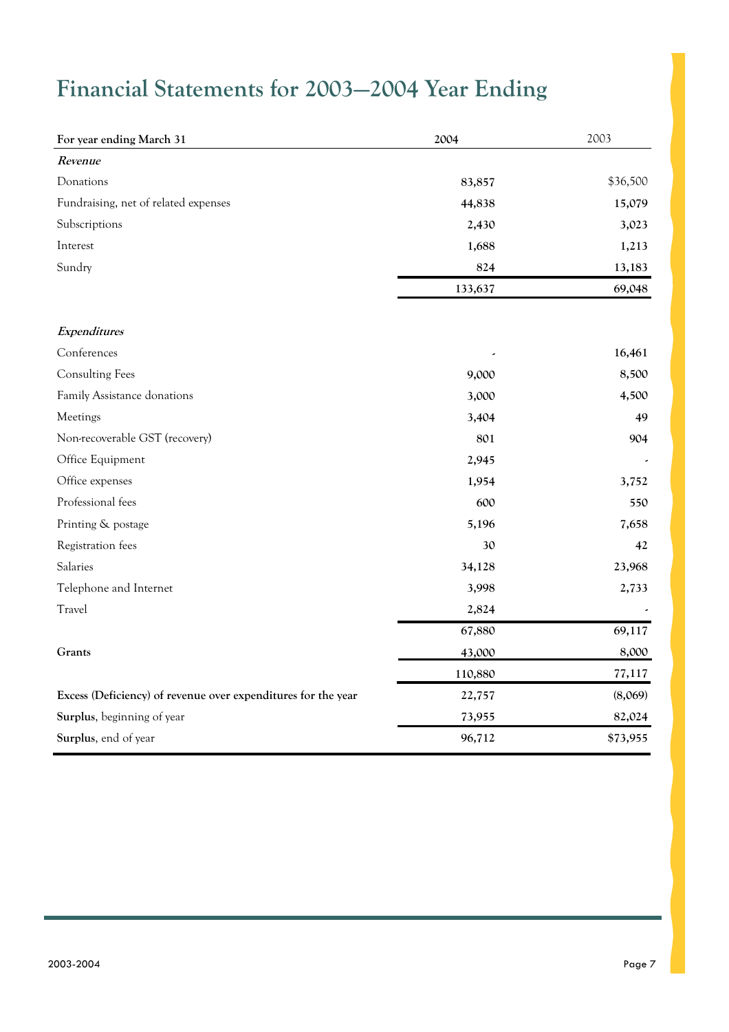# **Financial Statements for 2003—2004 Year Ending**

| For year ending March 31                                      | 2004    | 2003     |
|---------------------------------------------------------------|---------|----------|
| Revenue                                                       |         |          |
| Donations                                                     | 83,857  | \$36,500 |
| Fundraising, net of related expenses                          | 44,838  | 15,079   |
| Subscriptions                                                 | 2,430   | 3,023    |
| Interest                                                      | 1,688   | 1,213    |
| Sundry                                                        | 824     | 13,183   |
|                                                               | 133,637 | 69,048   |
| Expenditures                                                  |         |          |
| Conferences                                                   |         | 16,461   |
| <b>Consulting Fees</b>                                        | 9,000   | 8,500    |
| Family Assistance donations                                   | 3,000   | 4,500    |
| Meetings                                                      | 3,404   | 49       |
| Non-recoverable GST (recovery)                                | 801     | 904      |
| Office Equipment                                              | 2,945   |          |
| Office expenses                                               | 1,954   | 3,752    |
| Professional fees                                             | 600     | 550      |
| Printing & postage                                            | 5,196   | 7,658    |
| Registration fees                                             | 30      | 42       |
| Salaries                                                      | 34,128  | 23,968   |
| Telephone and Internet                                        | 3,998   | 2,733    |
| Travel                                                        | 2,824   |          |
|                                                               | 67,880  | 69,117   |
| Grants                                                        | 43,000  | 8,000    |
|                                                               | 110,880 | 77,117   |
| Excess (Deficiency) of revenue over expenditures for the year | 22,757  | (8,069)  |
| Surplus, beginning of year                                    | 73,955  | 82,024   |
| Surplus, end of year                                          | 96,712  | \$73,955 |